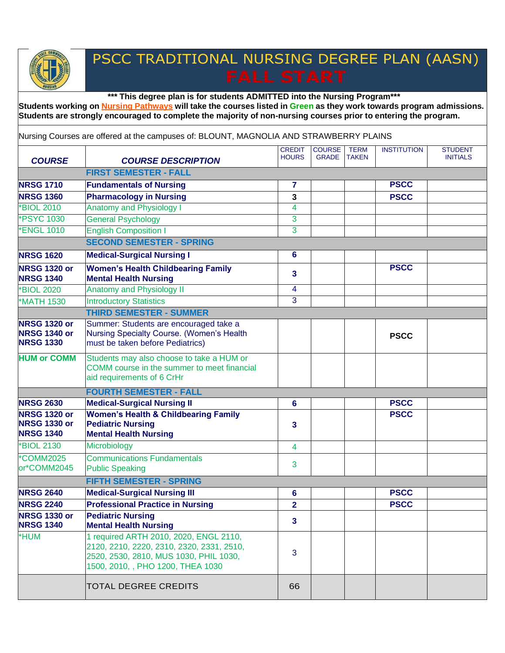## PSCC TRADITIONAL NURSING DEGREE PLAN (AASN)

**\*\*\* This degree plan is for students ADMITTED into the Nursing Program\*\*\***

Students working on Nursing Pathways will take the courses listed in Green as they work towards program admissions. **Students are strongly encouraged to complete the majority of non-nursing courses prior to entering the program.**

Nursing Courses are offered at the campuses of: BLOUNT, MAGNOLIA AND STRAWBERRY PLAINS

| <b>COURSE</b>                                                  | <b>COURSE DESCRIPTION</b>                                                                                                                                          | <b>CREDIT</b><br><b>HOURS</b> | <b>COURSE</b><br><b>GRADE</b> | <b>TERM</b><br><b>TAKEN</b> | <b>INSTITUTION</b> | <b>STUDENT</b><br><b>INITIALS</b> |  |  |  |  |
|----------------------------------------------------------------|--------------------------------------------------------------------------------------------------------------------------------------------------------------------|-------------------------------|-------------------------------|-----------------------------|--------------------|-----------------------------------|--|--|--|--|
|                                                                | <b>FIRST SEMESTER - FALL</b>                                                                                                                                       |                               |                               |                             |                    |                                   |  |  |  |  |
| <b>NRSG 1710</b>                                               | <b>Fundamentals of Nursing</b>                                                                                                                                     | 7                             |                               |                             | <b>PSCC</b>        |                                   |  |  |  |  |
| <b>NRSG 1360</b>                                               | <b>Pharmacology in Nursing</b>                                                                                                                                     | 3                             |                               |                             | <b>PSCC</b>        |                                   |  |  |  |  |
| <b>BIOL 2010</b>                                               | <b>Anatomy and Physiology I</b>                                                                                                                                    | 4                             |                               |                             |                    |                                   |  |  |  |  |
| <b>PSYC 1030</b>                                               | <b>General Psychology</b>                                                                                                                                          | 3                             |                               |                             |                    |                                   |  |  |  |  |
| <b>*ENGL 1010</b>                                              | <b>English Composition I</b>                                                                                                                                       | 3                             |                               |                             |                    |                                   |  |  |  |  |
|                                                                | <b>SECOND SEMESTER - SPRING</b>                                                                                                                                    |                               |                               |                             |                    |                                   |  |  |  |  |
| <b>NRSG 1620</b>                                               | <b>Medical-Surgical Nursing I</b>                                                                                                                                  | 6                             |                               |                             |                    |                                   |  |  |  |  |
| <b>NRSG 1320 or</b><br><b>NRSG 1340</b>                        | <b>Women's Health Childbearing Family</b><br><b>Mental Health Nursing</b>                                                                                          | 3                             |                               |                             | <b>PSCC</b>        |                                   |  |  |  |  |
| <b>BIOL 2020</b>                                               | <b>Anatomy and Physiology II</b>                                                                                                                                   | 4                             |                               |                             |                    |                                   |  |  |  |  |
| <b>*MATH 1530</b>                                              | <b>Introductory Statistics</b>                                                                                                                                     | 3                             |                               |                             |                    |                                   |  |  |  |  |
|                                                                | <b>THIRD SEMESTER - SUMMER</b>                                                                                                                                     |                               |                               |                             |                    |                                   |  |  |  |  |
| <b>NRSG 1320 or</b><br><b>NRSG 1340 or</b><br><b>NRSG 1330</b> | Summer: Students are encouraged take a<br>Nursing Specialty Course. (Women's Health<br>must be taken before Pediatrics)                                            |                               |                               |                             | <b>PSCC</b>        |                                   |  |  |  |  |
| <b>HUM or COMM</b>                                             | Students may also choose to take a HUM or<br>COMM course in the summer to meet financial<br>aid requirements of 6 CrHr                                             |                               |                               |                             |                    |                                   |  |  |  |  |
|                                                                | <b>FOURTH SEMESTER - FALL</b>                                                                                                                                      |                               |                               |                             |                    |                                   |  |  |  |  |
| <b>NRSG 2630</b>                                               | <b>Medical-Surgical Nursing II</b>                                                                                                                                 | 6                             |                               |                             | <b>PSCC</b>        |                                   |  |  |  |  |
| <b>NRSG 1320 or</b><br><b>NRSG 1330 or</b><br><b>NRSG 1340</b> | <b>Women's Health &amp; Childbearing Family</b><br><b>Pediatric Nursing</b><br><b>Mental Health Nursing</b>                                                        | 3                             |                               |                             | <b>PSCC</b>        |                                   |  |  |  |  |
| <b>BIOL 2130</b>                                               | Microbiology                                                                                                                                                       | 4                             |                               |                             |                    |                                   |  |  |  |  |
| *COMM2025<br>or*COMM2045                                       | <b>Communications Fundamentals</b><br><b>Public Speaking</b>                                                                                                       | 3                             |                               |                             |                    |                                   |  |  |  |  |
|                                                                | <b>FIFTH SEMESTER - SPRING</b>                                                                                                                                     |                               |                               |                             |                    |                                   |  |  |  |  |
| <b>NRSG 2640</b>                                               | <b>Medical-Surgical Nursing III</b>                                                                                                                                | 6                             |                               |                             | <b>PSCC</b>        |                                   |  |  |  |  |
| <b>NRSG 2240</b>                                               | <b>Professional Practice in Nursing</b>                                                                                                                            | $\overline{\mathbf{2}}$       |                               |                             | <b>PSCC</b>        |                                   |  |  |  |  |
| <b>NRSG 1330 or</b><br><b>NRSG 1340</b>                        | <b>Pediatric Nursing</b><br><b>Mental Health Nursing</b>                                                                                                           | 3                             |                               |                             |                    |                                   |  |  |  |  |
| *HUM                                                           | 1 required ARTH 2010, 2020, ENGL 2110,<br>2120, 2210, 2220, 2310, 2320, 2331, 2510,<br>2520, 2530, 2810, MUS 1030, PHIL 1030,<br>1500, 2010, , PHO 1200, THEA 1030 | 3                             |                               |                             |                    |                                   |  |  |  |  |
|                                                                | <b>TOTAL DEGREE CREDITS</b>                                                                                                                                        | 66                            |                               |                             |                    |                                   |  |  |  |  |